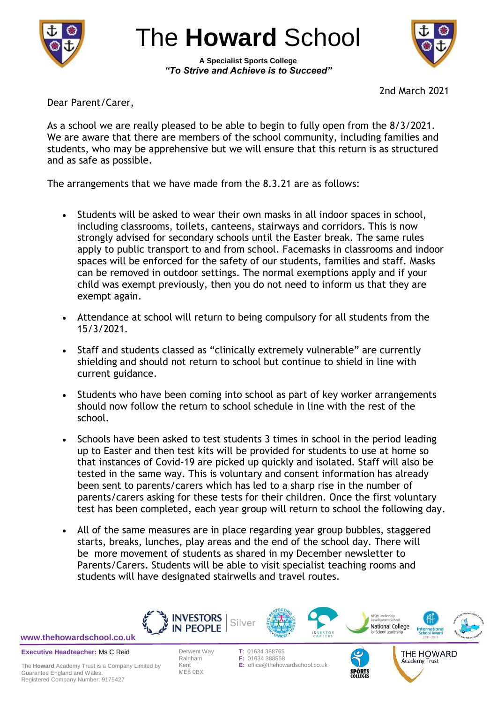

The **Howard** School

**A Specialist Sports College** *"To Strive and Achieve is to Succeed"*



2nd March 2021

Dear Parent/Carer,

As a school we are really pleased to be able to begin to fully open from the 8/3/2021. We are aware that there are members of the school community, including families and students, who may be apprehensive but we will ensure that this return is as structured and as safe as possible.

The arrangements that we have made from the 8.3.21 are as follows:

- Students will be asked to wear their own masks in all indoor spaces in school, including classrooms, toilets, canteens, stairways and corridors. This is now strongly advised for secondary schools until the Easter break. The same rules apply to public transport to and from school. Facemasks in classrooms and indoor spaces will be enforced for the safety of our students, families and staff. Masks can be removed in outdoor settings. The normal exemptions apply and if your child was exempt previously, then you do not need to inform us that they are exempt again.
- Attendance at school will return to being compulsory for all students from the 15/3/2021.
- Staff and students classed as "clinically extremely vulnerable" are currently shielding and should not return to school but continue to shield in line with current guidance.
- Students who have been coming into school as part of key worker arrangements should now follow the return to school schedule in line with the rest of the school.
- Schools have been asked to test students 3 times in school in the period leading up to Easter and then test kits will be provided for students to use at home so that instances of Covid-19 are picked up quickly and isolated. Staff will also be tested in the same way. This is voluntary and consent information has already been sent to parents/carers which has led to a sharp rise in the number of parents/carers asking for these tests for their children. Once the first voluntary test has been completed, each year group will return to school the following day.
- All of the same measures are in place regarding year group bubbles, staggered starts, breaks, lunches, play areas and the end of the school day. There will be more movement of students as shared in my December newsletter to Parents/Carers. Students will be able to visit specialist teaching rooms and students will have designated stairwells and travel routes.



THE HOWARD Academy Trust

**[www.thehowardschool.co.uk](http://www.thehowardschool.co.uk/)**

**Executive Headteacher:** Ms C Reid

ME8 0BX

Derwent Way **T**: 01634 388765 **F: 01634 388558** Kent **E:** office@thehowardschool.co.uk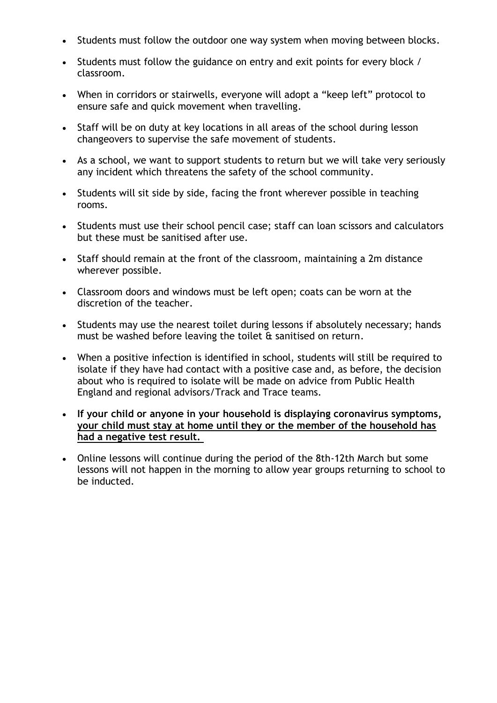- Students must follow the outdoor one way system when moving between blocks.
- Students must follow the guidance on entry and exit points for every block / classroom.
- When in corridors or stairwells, everyone will adopt a "keep left" protocol to ensure safe and quick movement when travelling.
- Staff will be on duty at key locations in all areas of the school during lesson changeovers to supervise the safe movement of students.
- As a school, we want to support students to return but we will take very seriously any incident which threatens the safety of the school community.
- Students will sit side by side, facing the front wherever possible in teaching rooms.
- Students must use their school pencil case; staff can loan scissors and calculators but these must be sanitised after use.
- Staff should remain at the front of the classroom, maintaining a 2m distance wherever possible.
- Classroom doors and windows must be left open; coats can be worn at the discretion of the teacher.
- Students may use the nearest toilet during lessons if absolutely necessary; hands must be washed before leaving the toilet & sanitised on return.
- When a positive infection is identified in school, students will still be required to isolate if they have had contact with a positive case and, as before, the decision about who is required to isolate will be made on advice from Public Health England and regional advisors/Track and Trace teams.
- **If your child or anyone in your household is displaying coronavirus symptoms, your child must stay at home until they or the member of the household has had a negative test result.**
- Online lessons will continue during the period of the 8th-12th March but some lessons will not happen in the morning to allow year groups returning to school to be inducted.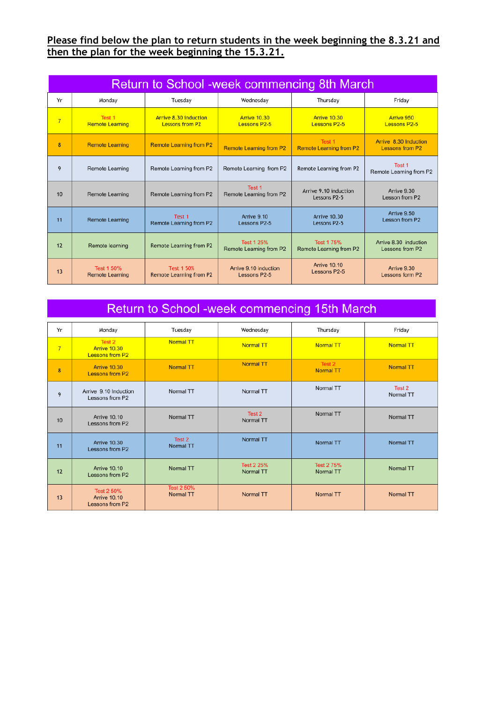## **Please find below the plan to return students in the week beginning the 8.3.21 and then the plan for the week beginning the 15.3.21.**

| Return to School -week commencing 8th March |                                      |                                                     |                                              |                                            |                                                 |  |  |
|---------------------------------------------|--------------------------------------|-----------------------------------------------------|----------------------------------------------|--------------------------------------------|-------------------------------------------------|--|--|
| Yr                                          | Monday                               | Tuesday                                             | Wednesdav                                    | Thursday                                   | Fridav                                          |  |  |
| $\overline{7}$                              | Test 1<br><b>Remote Learning</b>     | Arrive 8.30 induction<br><b>Lessons from P2</b>     | <b>Arrive 10.30</b><br><b>Lessons P2-5</b>   | <b>Arrive 10.30</b><br><b>Lessons P2-5</b> | Arrive 950<br><b>Lessons P2-5</b>               |  |  |
| 8                                           | <b>Remote Learning</b>               | <b>Remote Learning from P2</b>                      | <b>Remote Learning from P2</b>               | Test 1<br><b>Remote Learning from P2</b>   | Arrive 8.30 Induction<br><b>Lessons from P2</b> |  |  |
| 9                                           | Remote Learning                      | Remote Learning from P2                             | Remote Learning from P2                      | Remote Learning from P2                    | Test 1<br>Remote Learning from P2               |  |  |
| 10                                          | <b>Remote Learning</b>               | Remote Learning from P2                             | Test 1<br>Remote Learning from P2            | Arrive 9.10 induction<br>Lessons P2-5      | Arrive 9.30<br>Lesson from P2                   |  |  |
| 11                                          | <b>Remote Learning</b>               | Test 1<br>Remote Learning from P2                   | Arrive 9.10<br>Lessons P2-5                  | Arrive 10.30<br>Lessons P2-5               | Arrive 9.50<br>Lesson from P2                   |  |  |
| 12                                          | Remote learning                      | Remote Learning from P2                             | <b>Test 1 25%</b><br>Remote Learning from P2 | Test 1 75%<br>Remote Learning from P2      | Arrive 8.30 induction<br>Lessons from P2        |  |  |
| 13                                          | Test 1 50%<br><b>Remote Learning</b> | <b>Test 1 50%</b><br><b>Remote Learning from P2</b> | Arrive 9.10 induction<br>Lessons P2-5        | <b>Arrive 10.10</b><br>Lessons P2-5        | Arrive 9.30<br>Lessons form P2                  |  |  |

## Return to School -week commencing 15th March

| Yr             | Monday                                                      | Tuesday                               | Wednesday               | Thursday                   | Friday              |
|----------------|-------------------------------------------------------------|---------------------------------------|-------------------------|----------------------------|---------------------|
| $7\overline{}$ | Test 2<br>Arrive 10.30<br><b>Lessons from P2</b>            | <b>Normal TT</b>                      | <b>Normal TT</b>        | <b>Normal TT</b>           | Normal TT           |
| 8              | <b>Arrive 10.30</b><br>Lessons from P2                      | <b>Normal TT</b>                      | <b>Normal TT</b>        | Test 2<br><b>Normal TT</b> | Normal TT           |
| 9              | Arrive 9.10 Induction<br>Lessons from P2                    | Normal TT                             | Normal TT               | Normal TT                  | Test 2<br>Normal TT |
| 10             | <b>Arrive 10.10</b><br>Lessons from P2                      | Normal TT                             | Test 2<br>Normal TT     | Normal TT                  | Normal TT           |
| 11             | <b>Arrive 10.30</b><br>Lessons from P2                      | Test 2<br>Normal TT                   | Normal TT               | Normal TT                  | Normal TT           |
| 12             | <b>Arrive 10.10</b><br>Lessons from P2                      | Normal TT                             | Test 2 25%<br>Normal TT | Test 2 75%<br>Normal TT    | Normal TT           |
| 13             | <b>Test 2 50%</b><br><b>Arrive 10.10</b><br>Lessons from P2 | <b>Test 2 50%</b><br><b>Normal TT</b> | Normal TT               | <b>Normal TT</b>           | Normal TT           |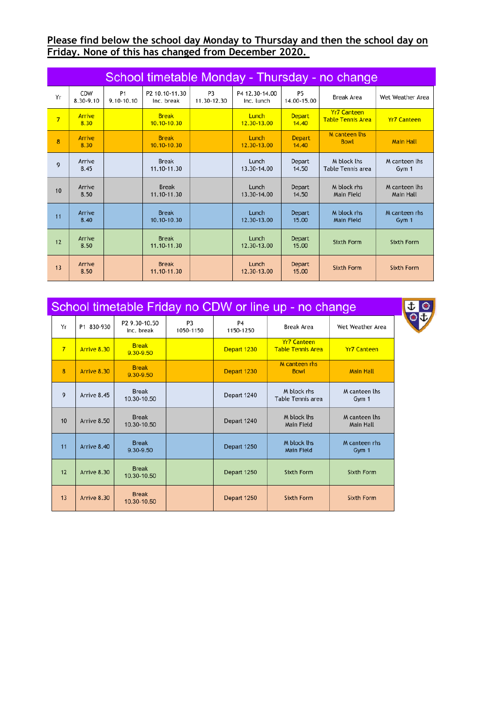## **Please find below the school day Monday to Thursday and then the school day on Friday. None of this has changed from December 2020.**

| School timetable Monday - Thursday - no change |                       |                              |                                 |                               |                              |                          |                                                |                            |  |
|------------------------------------------------|-----------------------|------------------------------|---------------------------------|-------------------------------|------------------------------|--------------------------|------------------------------------------------|----------------------------|--|
| Yr                                             | CDW<br>8.30-9.10      | P <sub>1</sub><br>9.10-10.10 | P2 10.10-11.30<br>Inc. break    | P <sub>3</sub><br>11.30-12.30 | P4 12.30-14.00<br>Inc. lunch | <b>P5</b><br>14.00-15.00 | <b>Break Area</b>                              | Wet Weather Area           |  |
| $\overline{7}$                                 | <b>Arrive</b><br>8.30 |                              | <b>Break</b><br>$10.10 - 10.30$ |                               | Lunch<br>12.30-13.00         | <b>Depart</b><br>14.40   | <b>Yr7 Canteen</b><br><b>Table Tennis Area</b> | <b>Yr7 Canteen</b>         |  |
| 8                                              | Arrive<br>8.30        |                              | <b>Break</b><br>10.10-10.30     |                               | Lunch<br>12.30-13.00         | <b>Depart</b><br>14.40   | M canteen lhs<br><b>Bowl</b>                   | <b>Main Hall</b>           |  |
| 9                                              | Arrive<br>8.45        |                              | <b>Break</b><br>11.10-11.30     |                               | Lunch<br>13,30-14.00         | Depart<br>14.50          | M block lhs<br>Table Tennis area               | M canteen lhs<br>Gym 1     |  |
| 10                                             | Arrive<br>8.50        |                              | <b>Break</b><br>11.10-11.30     |                               | Lunch<br>13.30-14.00         | Depart<br>14.50          | M block rhs<br>Main Field                      | M canteen lhs<br>Main Hall |  |
| 11                                             | Arrive<br>8.40        |                              | <b>Break</b><br>10.10-10.30     |                               | Lunch<br>12.30-13.00         | <b>Depart</b><br>15.00   | M block rhs<br>Main Field                      | M canteen rhs<br>Gym 1     |  |
| 12                                             | Arrive<br>8.50        |                              | <b>Break</b><br>11.10-11.30     |                               | Lunch<br>12.30-13.00         | Depart<br>15.00          | <b>Sixth Form</b>                              | <b>Sixth Form</b>          |  |
| 13                                             | Arrive<br>8.50        |                              | <b>Break</b><br>11.10-11.30     |                               | Lunch<br>12.30-13.00         | <b>Depart</b><br>15.00   | <b>Sixth Form</b>                              | <b>Sixth Form</b>          |  |

土地

| School timetable Friday no CDW or line up - no change |             |                                         |                             |                             |                                                |                                   |  |
|-------------------------------------------------------|-------------|-----------------------------------------|-----------------------------|-----------------------------|------------------------------------------------|-----------------------------------|--|
| Yr                                                    | P1 830-930  | P <sub>2</sub> 9.30-10.50<br>Inc. break | P <sub>3</sub><br>1050-1150 | P <sub>4</sub><br>1150-1250 | <b>Break Area</b>                              | Wet Weather Area                  |  |
| $7\overline{ }$                                       | Arrive 8.30 | <b>Break</b><br>9.30-9.50               |                             | Depart 1230                 | <b>Yr7 Canteen</b><br><b>Table Tennis Area</b> | <b>Yr7 Canteen</b>                |  |
| 8                                                     | Arrive 8.30 | <b>Break</b><br>9.30-9.50               |                             | Depart 1230                 | M canteen rhs<br><b>Bowl</b>                   | <b>Main Hall</b>                  |  |
| 9                                                     | Arrive 8.45 | <b>Break</b><br>10.30-10.50             |                             | Depart 1240                 | M block rhs<br>Table Tennis area               | M canteen lhs<br>Gym 1            |  |
| 10                                                    | Arrive 8.50 | <b>Break</b><br>10.30-10.50             |                             | Depart 1240                 | M block lhs<br>Main Field                      | M canteen lhs<br><b>Main Hall</b> |  |
| 11                                                    | Arrive 8.40 | <b>Break</b><br>9.30-9.50               |                             | Depart 1250                 | M block lhs<br><b>Main Field</b>               | M canteen rhs<br>Gym 1            |  |
| 12                                                    | Arrive 8.30 | <b>Break</b><br>10.30-10.50             |                             | Depart 1250                 | <b>Sixth Form</b>                              | <b>Sixth Form</b>                 |  |
| 13                                                    | Arrive 8.30 | <b>Break</b><br>10.30-10.50             |                             | Depart 1250                 | <b>Sixth Form</b>                              | <b>Sixth Form</b>                 |  |